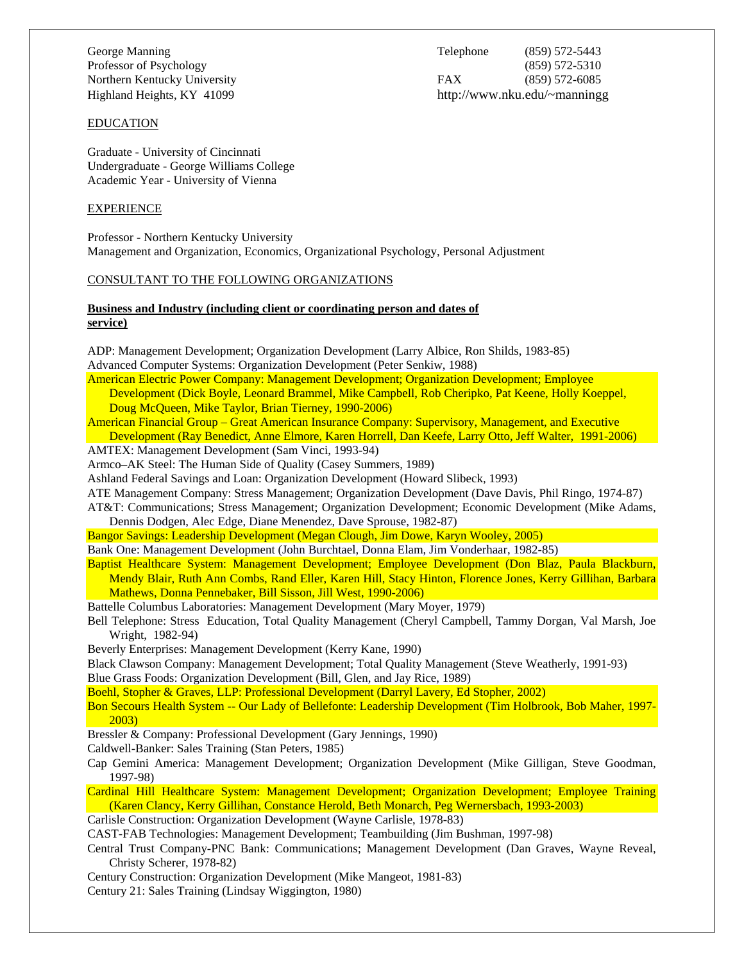George Manning Telephone (859) 572-5443 Professor of Psychology (859) 572-5310 Northern Kentucky University FAX (859) 572-6085 Highland Heights, KY 41099 http://www.nku.edu/~manningg

#### EDUCATION

Graduate - University of Cincinnati Undergraduate - George Williams College Academic Year - University of Vienna

### **EXPERIENCE**

Professor - Northern Kentucky University Management and Organization, Economics, Organizational Psychology, Personal Adjustment

# CONSULTANT TO THE FOLLOWING ORGANIZATIONS

# **Business and Industry (including client or coordinating person and dates of service)**

| ADP: Management Development; Organization Development (Larry Albice, Ron Shilds, 1983-85)                   |
|-------------------------------------------------------------------------------------------------------------|
| Advanced Computer Systems: Organization Development (Peter Senkiw, 1988)                                    |
| American Electric Power Company: Management Development; Organization Development; Employee                 |
| Development (Dick Boyle, Leonard Brammel, Mike Campbell, Rob Cheripko, Pat Keene, Holly Koeppel,            |
| Doug McQueen, Mike Taylor, Brian Tierney, 1990-2006)                                                        |
| American Financial Group – Great American Insurance Company: Supervisory, Management, and Executive         |
| Development (Ray Benedict, Anne Elmore, Karen Horrell, Dan Keefe, Larry Otto, Jeff Walter, 1991-2006)       |
| AMTEX: Management Development (Sam Vinci, 1993-94)                                                          |
| Armco-AK Steel: The Human Side of Quality (Casey Summers, 1989)                                             |
| Ashland Federal Savings and Loan: Organization Development (Howard Slibeck, 1993)                           |
| ATE Management Company: Stress Management; Organization Development (Dave Davis, Phil Ringo, 1974-87)       |
| AT&T: Communications; Stress Management; Organization Development; Economic Development (Mike Adams,        |
| Dennis Dodgen, Alec Edge, Diane Menendez, Dave Sprouse, 1982-87)                                            |
| Bangor Savings: Leadership Development (Megan Clough, Jim Dowe, Karyn Wooley, 2005)                         |
| Bank One: Management Development (John Burchtael, Donna Elam, Jim Vonderhaar, 1982-85)                      |
| Baptist Healthcare System: Management Development; Employee Development (Don Blaz, Paula Blackburn,         |
| Mendy Blair, Ruth Ann Combs, Rand Eller, Karen Hill, Stacy Hinton, Florence Jones, Kerry Gillihan, Barbara  |
| Mathews, Donna Pennebaker, Bill Sisson, Jill West, 1990-2006)                                               |
| Battelle Columbus Laboratories: Management Development (Mary Moyer, 1979)                                   |
| Bell Telephone: Stress Education, Total Quality Management (Cheryl Campbell, Tammy Dorgan, Val Marsh, Joe   |
| Wright, 1982-94)                                                                                            |
| Beverly Enterprises: Management Development (Kerry Kane, 1990)                                              |
| Black Clawson Company: Management Development; Total Quality Management (Steve Weatherly, 1991-93)          |
| Blue Grass Foods: Organization Development (Bill, Glen, and Jay Rice, 1989)                                 |
| Boehl, Stopher & Graves, LLP: Professional Development (Darryl Lavery, Ed Stopher, 2002)                    |
| Bon Secours Health System -- Our Lady of Bellefonte: Leadership Development (Tim Holbrook, Bob Maher, 1997- |
| 2003)                                                                                                       |
| Bressler & Company: Professional Development (Gary Jennings, 1990)                                          |
| Caldwell-Banker: Sales Training (Stan Peters, 1985)                                                         |
| Cap Gemini America: Management Development; Organization Development (Mike Gilligan, Steve Goodman,         |
| 1997-98)                                                                                                    |
| Cardinal Hill Healthcare System: Management Development; Organization Development; Employee Training        |
| (Karen Clancy, Kerry Gillihan, Constance Herold, Beth Monarch, Peg Wernersbach, 1993-2003)                  |
| Carlisle Construction: Organization Development (Wayne Carlisle, 1978-83)                                   |
| CAST-FAB Technologies: Management Development; Teambuilding (Jim Bushman, 1997-98)                          |
| Central Trust Company-PNC Bank: Communications; Management Development (Dan Graves, Wayne Reveal,           |
| Christy Scherer, 1978-82)                                                                                   |
| Century Construction: Organization Development (Mike Mangeot, 1981-83)                                      |
| Century 21: Sales Training (Lindsay Wiggington, 1980)                                                       |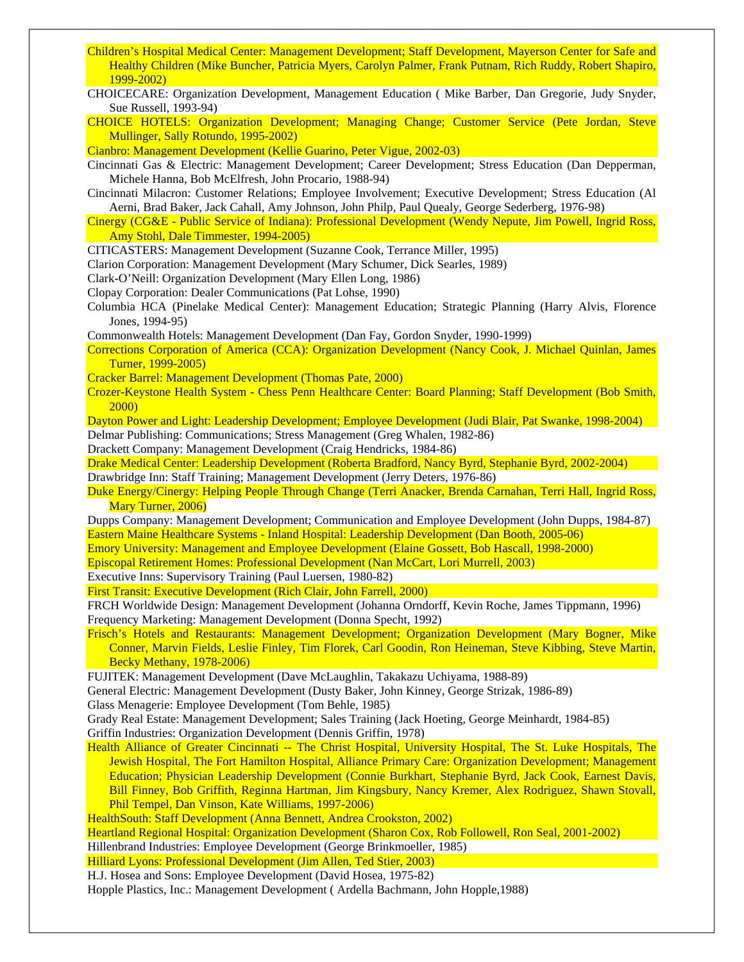- Children's Hospital Medical Center: Management Development; Staff Development, Mayerson Center for Safe and Healthy Children (Mike Buncher, Patricia Myers, Carolyn Palmer, Frank Putnam, Rich Ruddy, Robert Shapiro, 1999-2002)
- CHOICECARE: Organization Development, Management Education ( Mike Barber, Dan Gregorie, Judy Snyder, Sue Russell, 1993-94)
- CHOICE HOTELS: Organization Development; Managing Change; Customer Service (Pete Jordan, Steve Mullinger, Sally Rotundo, 1995-2002)

Cianbro: Management Development (Kellie Guarino, Peter Vigue, 2002-03)

Cincinnati Gas & Electric: Management Development; Career Development; Stress Education (Dan Depperman, Michele Hanna, Bob McElfresh, John Procario, 1988-94)

Cincinnati Milacron: Customer Relations; Employee Involvement; Executive Development; Stress Education (Al Aerni, Brad Baker, Jack Cahall, Amy Johnson, John Philp, Paul Quealy, George Sederberg, 1976-98)

Cinergy (CG&E - Public Service of Indiana): Professional Development (Wendy Nepute, Jim Powell, Ingrid Ross, Amy Stohl, Dale Timmester, 1994-2005)

CITICASTERS: Management Development (Suzanne Cook, Terrance Miller, 1995)

Clarion Corporation: Management Development (Mary Schumer, Dick Searles, 1989)

Clark-O'Neill: Organization Development (Mary Ellen Long, 1986)

Clopay Corporation: Dealer Communications (Pat Lohse, 1990)

Columbia HCA (Pinelake Medical Center): Management Education; Strategic Planning (Harry Alvis, Florence Jones, 1994-95)

Commonwealth Hotels: Management Development (Dan Fay, Gordon Snyder, 1990-1999)

- Corrections Corporation of America (CCA): Organization Development (Nancy Cook, J. Michael Quinlan, James Turner, 1999-2005)
- Cracker Barrel: Management Development (Thomas Pate, 2000)
- Crozer-Keystone Health System Chess Penn Healthcare Center: Board Planning; Staff Development (Bob Smith, 2000)
- Dayton Power and Light: Leadership Development; Employee Development (Judi Blair, Pat Swanke, 1998-2004) Delmar Publishing: Communications; Stress Management (Greg Whalen, 1982-86)

Drackett Company: Management Development (Craig Hendricks, 1984-86)

- Drake Medical Center: Leadership Development (Roberta Bradford, Nancy Byrd, Stephanie Byrd, 2002-2004) Drawbridge Inn: Staff Training; Management Development (Jerry Deters, 1976-86)
- Duke Energy/Cinergy: Helping People Through Change (Terri Anacker, Brenda Carnahan, Terri Hall, Ingrid Ross, Mary Turner, 2006)
- Dupps Company: Management Development; Communication and Employee Development (John Dupps, 1984-87) Eastern Maine Healthcare Systems - Inland Hospital: Leadership Development (Dan Booth, 2005-06)
- Emory University: Management and Employee Development (Elaine Gossett, Bob Hascall, 1998-2000)
- Episcopal Retirement Homes: Professional Development (Nan McCart, Lori Murrell, 2003)

Executive Inns: Supervisory Training (Paul Luersen, 1980-82)

First Transit: Executive Development (Rich Clair, John Farrell, 2000)

FRCH Worldwide Design: Management Development (Johanna Orndorff, Kevin Roche, James Tippmann, 1996) Frequency Marketing: Management Development (Donna Specht, 1992)

Frisch's Hotels and Restaurants: Management Development; Organization Development (Mary Bogner, Mike Conner, Marvin Fields, Leslie Finley, Tim Florek, Carl Goodin, Ron Heineman, Steve Kibbing, Steve Martin, Becky Methany, 1978-2006)

FUJITEK: Management Development (Dave McLaughlin, Takakazu Uchiyama, 1988-89)

General Electric: Management Development (Dusty Baker, John Kinney, George Strizak, 1986-89)

Glass Menagerie: Employee Development (Tom Behle, 1985)

Grady Real Estate: Management Development; Sales Training (Jack Hoeting, George Meinhardt, 1984-85)

Griffin Industries: Organization Development (Dennis Griffin, 1978)

Health Alliance of Greater Cincinnati -- The Christ Hospital, University Hospital, The St. Luke Hospitals, The Jewish Hospital, The Fort Hamilton Hospital, Alliance Primary Care: Organization Development; Management Education; Physician Leadership Development (Connie Burkhart, Stephanie Byrd, Jack Cook, Earnest Davis, Bill Finney, Bob Griffith, Reginna Hartman, Jim Kingsbury, Nancy Kremer, Alex Rodriguez, Shawn Stovall, Phil Tempel, Dan Vinson, Kate Williams, 1997-2006)

HealthSouth: Staff Development (Anna Bennett, Andrea Crookston, 2002)

Heartland Regional Hospital: Organization Development (Sharon Cox, Rob Followell, Ron Seal, 2001-2002)

Hillenbrand Industries: Employee Development (George Brinkmoeller, 1985)

Hilliard Lyons: Professional Development (Jim Allen, Ted Stier, 2003)

H.J. Hosea and Sons: Employee Development (David Hosea, 1975-82)

Hopple Plastics, Inc.: Management Development ( Ardella Bachmann, John Hopple,1988)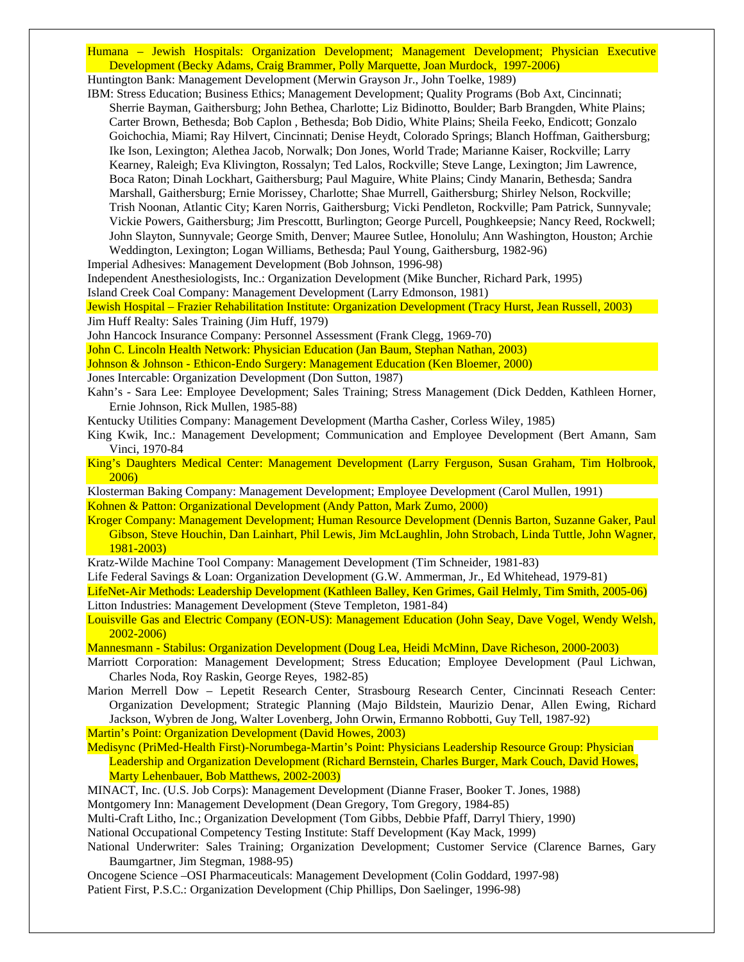Humana – Jewish Hospitals: Organization Development; Management Development; Physician Executive Development (Becky Adams, Craig Brammer, Polly Marquette, Joan Murdock, 1997-2006)

Huntington Bank: Management Development (Merwin Grayson Jr., John Toelke, 1989)

IBM: Stress Education; Business Ethics; Management Development; Quality Programs (Bob Axt, Cincinnati; Sherrie Bayman, Gaithersburg; John Bethea, Charlotte; Liz Bidinotto, Boulder; Barb Brangden, White Plains; Carter Brown, Bethesda; Bob Caplon , Bethesda; Bob Didio, White Plains; Sheila Feeko, Endicott; Gonzalo Goichochia, Miami; Ray Hilvert, Cincinnati; Denise Heydt, Colorado Springs; Blanch Hoffman, Gaithersburg; Ike Ison, Lexington; Alethea Jacob, Norwalk; Don Jones, World Trade; Marianne Kaiser, Rockville; Larry Kearney, Raleigh; Eva Klivington, Rossalyn; Ted Lalos, Rockville; Steve Lange, Lexington; Jim Lawrence, Boca Raton; Dinah Lockhart, Gaithersburg; Paul Maguire, White Plains; Cindy Manarin, Bethesda; Sandra Marshall, Gaithersburg; Ernie Morissey, Charlotte; Shae Murrell, Gaithersburg; Shirley Nelson, Rockville; Trish Noonan, Atlantic City; Karen Norris, Gaithersburg; Vicki Pendleton, Rockville; Pam Patrick, Sunnyvale; Vickie Powers, Gaithersburg; Jim Prescottt, Burlington; George Purcell, Poughkeepsie; Nancy Reed, Rockwell; John Slayton, Sunnyvale; George Smith, Denver; Mauree Sutlee, Honolulu; Ann Washington, Houston; Archie Weddington, Lexington; Logan Williams, Bethesda; Paul Young, Gaithersburg, 1982-96)

Imperial Adhesives: Management Development (Bob Johnson, 1996-98)

Independent Anesthesiologists, Inc.: Organization Development (Mike Buncher, Richard Park, 1995)

Island Creek Coal Company: Management Development (Larry Edmonson, 1981)

Jewish Hospital – Frazier Rehabilitation Institute: Organization Development (Tracy Hurst, Jean Russell, 2003) Jim Huff Realty: Sales Training (Jim Huff, 1979)

John Hancock Insurance Company: Personnel Assessment (Frank Clegg, 1969-70)

John C. Lincoln Health Network: Physician Education (Jan Baum, Stephan Nathan, 2003)

Johnson & Johnson - Ethicon-Endo Surgery: Management Education (Ken Bloemer, 2000)

Jones Intercable: Organization Development (Don Sutton, 1987)

Kahn's - Sara Lee: Employee Development; Sales Training; Stress Management (Dick Dedden, Kathleen Horner, Ernie Johnson, Rick Mullen, 1985-88)

Kentucky Utilities Company: Management Development (Martha Casher, Corless Wiley, 1985)

- King Kwik, Inc.: Management Development; Communication and Employee Development (Bert Amann, Sam Vinci, 1970-84
- King's Daughters Medical Center: Management Development (Larry Ferguson, Susan Graham, Tim Holbrook, 2006)

Klosterman Baking Company: Management Development; Employee Development (Carol Mullen, 1991) Kohnen & Patton: Organizational Development (Andy Patton, Mark Zumo, 2000)

Kroger Company: Management Development; Human Resource Development (Dennis Barton, Suzanne Gaker, Paul Gibson, Steve Houchin, Dan Lainhart, Phil Lewis, Jim McLaughlin, John Strobach, Linda Tuttle, John Wagner, 1981-2003)

Kratz-Wilde Machine Tool Company: Management Development (Tim Schneider, 1981-83)

Life Federal Savings & Loan: Organization Development (G.W. Ammerman, Jr., Ed Whitehead, 1979-81)

LifeNet-Air Methods: Leadership Development (Kathleen Balley, Ken Grimes, Gail Helmly, Tim Smith, 2005-06) Litton Industries: Management Development (Steve Templeton, 1981-84)

Louisville Gas and Electric Company (EON-US): Management Education (John Seay, Dave Vogel, Wendy Welsh, 2002-2006)

Mannesmann - Stabilus: Organization Development (Doug Lea, Heidi McMinn, Dave Richeson, 2000-2003)

- Marriott Corporation: Management Development; Stress Education; Employee Development (Paul Lichwan, Charles Noda, Roy Raskin, George Reyes, 1982-85)
- Marion Merrell Dow Lepetit Research Center, Strasbourg Research Center, Cincinnati Reseach Center: Organization Development; Strategic Planning (Majo Bildstein, Maurizio Denar, Allen Ewing, Richard Jackson, Wybren de Jong, Walter Lovenberg, John Orwin, Ermanno Robbotti, Guy Tell, 1987-92)

Martin's Point: Organization Development (David Howes, 2003)

Medisync (PriMed-Health First)-Norumbega-Martin's Point: Physicians Leadership Resource Group: Physician Leadership and Organization Development (Richard Bernstein, Charles Burger, Mark Couch, David Howes, Marty Lehenbauer, Bob Matthews, 2002-2003)

MINACT, Inc. (U.S. Job Corps): Management Development (Dianne Fraser, Booker T. Jones, 1988) Montgomery Inn: Management Development (Dean Gregory, Tom Gregory, 1984-85)

Multi-Craft Litho, Inc.; Organization Development (Tom Gibbs, Debbie Pfaff, Darryl Thiery, 1990)

National Occupational Competency Testing Institute: Staff Development (Kay Mack, 1999)

National Underwriter: Sales Training; Organization Development; Customer Service (Clarence Barnes, Gary Baumgartner, Jim Stegman, 1988-95)

Oncogene Science –OSI Pharmaceuticals: Management Development (Colin Goddard, 1997-98)

Patient First, P.S.C.: Organization Development (Chip Phillips, Don Saelinger, 1996-98)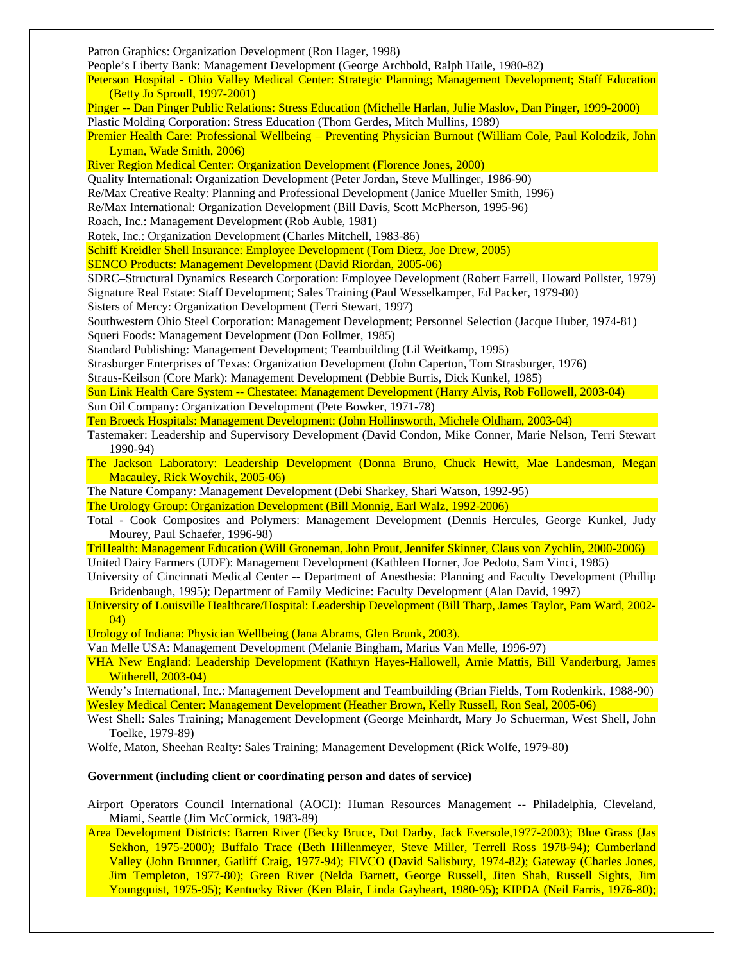Patron Graphics: Organization Development (Ron Hager, 1998) People's Liberty Bank: Management Development (George Archbold, Ralph Haile, 1980-82) Peterson Hospital - Ohio Valley Medical Center: Strategic Planning; Management Development; Staff Education (Betty Jo Sproull, 1997-2001) Pinger -- Dan Pinger Public Relations: Stress Education (Michelle Harlan, Julie Maslov, Dan Pinger, 1999-2000) Plastic Molding Corporation: Stress Education (Thom Gerdes, Mitch Mullins, 1989) Premier Health Care: Professional Wellbeing – Preventing Physician Burnout (William Cole, Paul Kolodzik, John Lyman, Wade Smith, 2006) River Region Medical Center: Organization Development (Florence Jones, 2000) Quality International: Organization Development (Peter Jordan, Steve Mullinger, 1986-90) Re/Max Creative Realty: Planning and Professional Development (Janice Mueller Smith, 1996) Re/Max International: Organization Development (Bill Davis, Scott McPherson, 1995-96) Roach, Inc.: Management Development (Rob Auble, 1981) Rotek, Inc.: Organization Development (Charles Mitchell, 1983-86) Schiff Kreidler Shell Insurance: Employee Development (Tom Dietz, Joe Drew, 2005) SENCO Products: Management Development (David Riordan, 2005-06) SDRC–Structural Dynamics Research Corporation: Employee Development (Robert Farrell, Howard Pollster, 1979) Signature Real Estate: Staff Development; Sales Training (Paul Wesselkamper, Ed Packer, 1979-80) Sisters of Mercy: Organization Development (Terri Stewart, 1997) Southwestern Ohio Steel Corporation: Management Development; Personnel Selection (Jacque Huber, 1974-81) Squeri Foods: Management Development (Don Follmer, 1985) Standard Publishing: Management Development; Teambuilding (Lil Weitkamp, 1995) Strasburger Enterprises of Texas: Organization Development (John Caperton, Tom Strasburger, 1976) Straus-Keilson (Core Mark): Management Development (Debbie Burris, Dick Kunkel, 1985) Sun Link Health Care System -- Chestatee: Management Development (Harry Alvis, Rob Followell, 2003-04) Sun Oil Company: Organization Development (Pete Bowker, 1971-78) Ten Broeck Hospitals: Management Development: (John Hollinsworth, Michele Oldham, 2003-04) Tastemaker: Leadership and Supervisory Development (David Condon, Mike Conner, Marie Nelson, Terri Stewart 1990-94) The Jackson Laboratory: Leadership Development (Donna Bruno, Chuck Hewitt, Mae Landesman, Megan Macauley, Rick Woychik, 2005-06) The Nature Company: Management Development (Debi Sharkey, Shari Watson, 1992-95) The Urology Group: Organization Development (Bill Monnig, Earl Walz, 1992-2006) Total - Cook Composites and Polymers: Management Development (Dennis Hercules, George Kunkel, Judy Mourey, Paul Schaefer, 1996-98) TriHealth: Management Education (Will Groneman, John Prout, Jennifer Skinner, Claus von Zychlin, 2000-2006) United Dairy Farmers (UDF): Management Development (Kathleen Horner, Joe Pedoto, Sam Vinci, 1985) University of Cincinnati Medical Center -- Department of Anesthesia: Planning and Faculty Development (Phillip Bridenbaugh, 1995); Department of Family Medicine: Faculty Development (Alan David, 1997) University of Louisville Healthcare/Hospital: Leadership Development (Bill Tharp, James Taylor, Pam Ward, 2002- 04) Urology of Indiana: Physician Wellbeing (Jana Abrams, Glen Brunk, 2003). Van Melle USA: Management Development (Melanie Bingham, Marius Van Melle, 1996-97) VHA New England: Leadership Development (Kathryn Hayes-Hallowell, Arnie Mattis, Bill Vanderburg, James Witherell, 2003-04) Wendy's International, Inc.: Management Development and Teambuilding (Brian Fields, Tom Rodenkirk, 1988-90) Wesley Medical Center: Management Development (Heather Brown, Kelly Russell, Ron Seal, 2005-06) West Shell: Sales Training; Management Development (George Meinhardt, Mary Jo Schuerman, West Shell, John Toelke, 1979-89) Wolfe, Maton, Sheehan Realty: Sales Training; Management Development (Rick Wolfe, 1979-80) **Government (including client or coordinating person and dates of service)** Airport Operators Council International (AOCI): Human Resources Management -- Philadelphia, Cleveland, Miami, Seattle (Jim McCormick, 1983-89) Area Development Districts: Barren River (Becky Bruce, Dot Darby, Jack Eversole,1977-2003); Blue Grass (Jas Sekhon, 1975-2000); Buffalo Trace (Beth Hillenmeyer, Steve Miller, Terrell Ross 1978-94); Cumberland Valley (John Brunner, Gatliff Craig, 1977-94); FIVCO (David Salisbury, 1974-82); Gateway (Charles Jones,

Jim Templeton, 1977-80); Green River (Nelda Barnett, George Russell, Jiten Shah, Russell Sights, Jim Youngquist, 1975-95); Kentucky River (Ken Blair, Linda Gayheart, 1980-95); KIPDA (Neil Farris, 1976-80);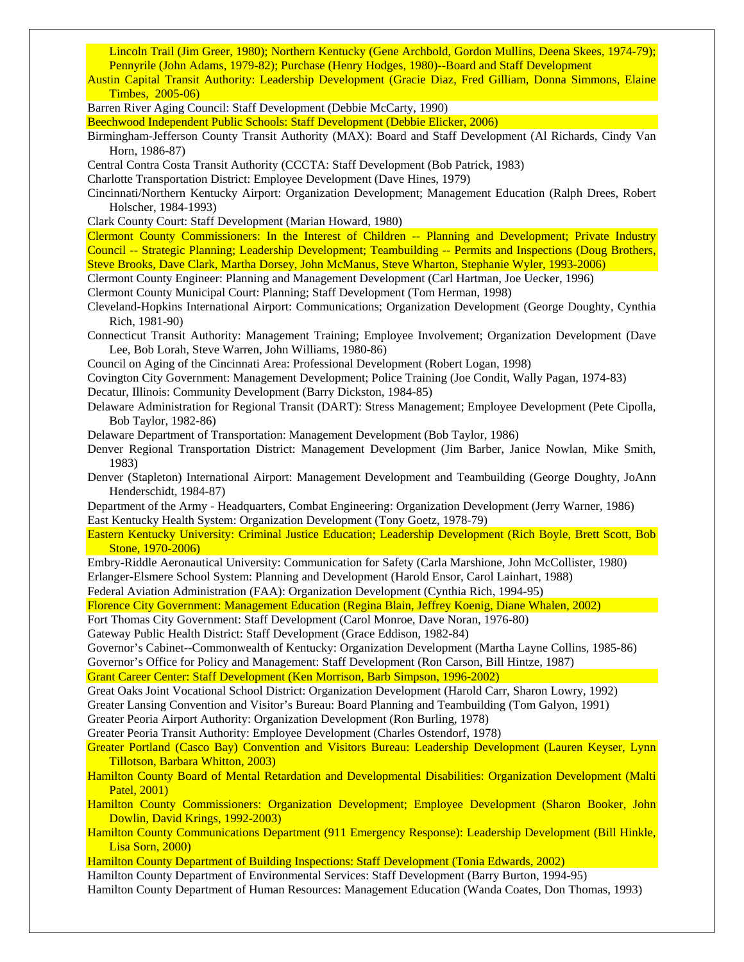Lincoln Trail (Jim Greer, 1980); Northern Kentucky (Gene Archbold, Gordon Mullins, Deena Skees, 1974-79); Pennyrile (John Adams, 1979-82); Purchase (Henry Hodges, 1980)--Board and Staff Development

Austin Capital Transit Authority: Leadership Development (Gracie Diaz, Fred Gilliam, Donna Simmons, Elaine Timbes, 2005-06)

Barren River Aging Council: Staff Development (Debbie McCarty, 1990)

Beechwood Independent Public Schools: Staff Development (Debbie Elicker, 2006)

- Birmingham-Jefferson County Transit Authority (MAX): Board and Staff Development (Al Richards, Cindy Van Horn, 1986-87)
- Central Contra Costa Transit Authority (CCCTA: Staff Development (Bob Patrick, 1983)
- Charlotte Transportation District: Employee Development (Dave Hines, 1979)

Cincinnati/Northern Kentucky Airport: Organization Development; Management Education (Ralph Drees, Robert Holscher, 1984-1993)

Clark County Court: Staff Development (Marian Howard, 1980)

Clermont County Commissioners: In the Interest of Children -- Planning and Development; Private Industry Council -- Strategic Planning; Leadership Development; Teambuilding -- Permits and Inspections (Doug Brothers, Steve Brooks, Dave Clark, Martha Dorsey, John McManus, Steve Wharton, Stephanie Wyler, 1993-2006)

Clermont County Engineer: Planning and Management Development (Carl Hartman, Joe Uecker, 1996)

Clermont County Municipal Court: Planning; Staff Development (Tom Herman, 1998)

Cleveland-Hopkins International Airport: Communications; Organization Development (George Doughty, Cynthia Rich, 1981-90)

Connecticut Transit Authority: Management Training; Employee Involvement; Organization Development (Dave Lee, Bob Lorah, Steve Warren, John Williams, 1980-86)

Council on Aging of the Cincinnati Area: Professional Development (Robert Logan, 1998)

Covington City Government: Management Development; Police Training (Joe Condit, Wally Pagan, 1974-83)

Decatur, Illinois: Community Development (Barry Dickston, 1984-85)

Delaware Administration for Regional Transit (DART): Stress Management; Employee Development (Pete Cipolla, Bob Taylor, 1982-86)

Delaware Department of Transportation: Management Development (Bob Taylor, 1986)

Denver Regional Transportation District: Management Development (Jim Barber, Janice Nowlan, Mike Smith, 1983)

Denver (Stapleton) International Airport: Management Development and Teambuilding (George Doughty, JoAnn Henderschidt, 1984-87)

Department of the Army - Headquarters, Combat Engineering: Organization Development (Jerry Warner, 1986) East Kentucky Health System: Organization Development (Tony Goetz, 1978-79)

Eastern Kentucky University: Criminal Justice Education; Leadership Development (Rich Boyle, Brett Scott, Bob Stone, 1970-2006)

Embry-Riddle Aeronautical University: Communication for Safety (Carla Marshione, John McCollister, 1980) Erlanger-Elsmere School System: Planning and Development (Harold Ensor, Carol Lainhart, 1988)

Federal Aviation Administration (FAA): Organization Development (Cynthia Rich, 1994-95)

Florence City Government: Management Education (Regina Blain, Jeffrey Koenig, Diane Whalen, 2002)

Fort Thomas City Government: Staff Development (Carol Monroe, Dave Noran, 1976-80)

Gateway Public Health District: Staff Development (Grace Eddison, 1982-84)

Governor's Cabinet--Commonwealth of Kentucky: Organization Development (Martha Layne Collins, 1985-86) Governor's Office for Policy and Management: Staff Development (Ron Carson, Bill Hintze, 1987)

Grant Career Center: Staff Development (Ken Morrison, Barb Simpson, 1996-2002)

Great Oaks Joint Vocational School District: Organization Development (Harold Carr, Sharon Lowry, 1992)

Greater Lansing Convention and Visitor's Bureau: Board Planning and Teambuilding (Tom Galyon, 1991)

Greater Peoria Airport Authority: Organization Development (Ron Burling, 1978)

Greater Peoria Transit Authority: Employee Development (Charles Ostendorf, 1978)

Greater Portland (Casco Bay) Convention and Visitors Bureau: Leadership Development (Lauren Keyser, Lynn Tillotson, Barbara Whitton, 2003)

- Hamilton County Board of Mental Retardation and Developmental Disabilities: Organization Development (Malti Patel, 2001)
- Hamilton County Commissioners: Organization Development; Employee Development (Sharon Booker, John Dowlin, David Krings, 1992-2003)

Hamilton County Communications Department (911 Emergency Response): Leadership Development (Bill Hinkle, Lisa Sorn, 2000)

Hamilton County Department of Building Inspections: Staff Development (Tonia Edwards, 2002)

Hamilton County Department of Environmental Services: Staff Development (Barry Burton, 1994-95)

Hamilton County Department of Human Resources: Management Education (Wanda Coates, Don Thomas, 1993)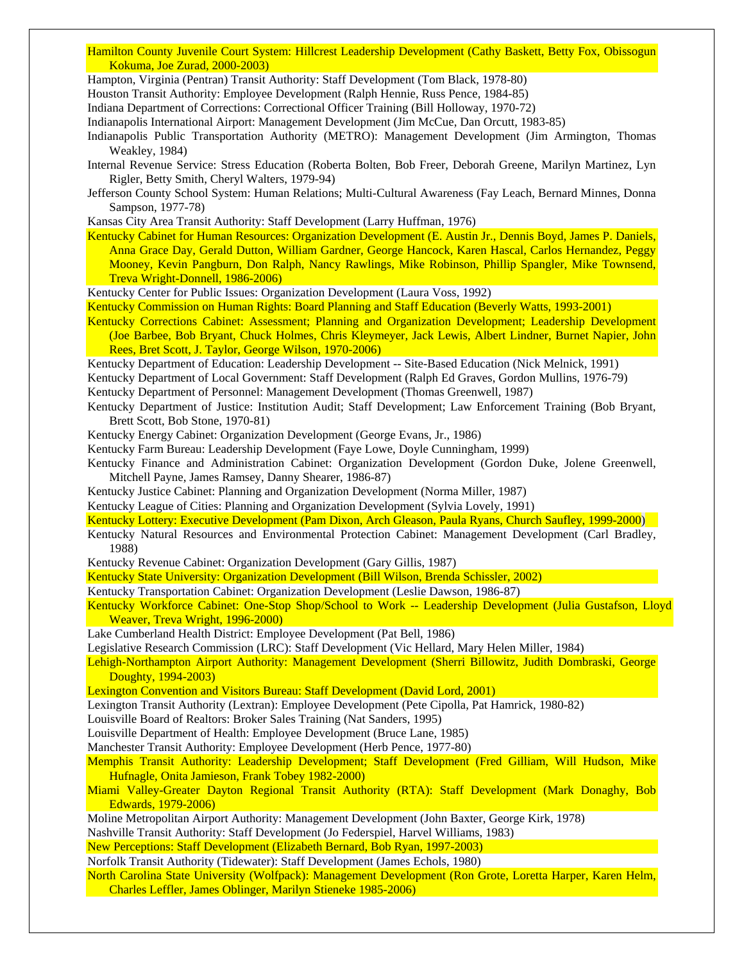Hamilton County Juvenile Court System: Hillcrest Leadership Development (Cathy Baskett, Betty Fox, Obissogun Kokuma, Joe Zurad, 2000-2003)

Hampton, Virginia (Pentran) Transit Authority: Staff Development (Tom Black, 1978-80)

Houston Transit Authority: Employee Development (Ralph Hennie, Russ Pence, 1984-85)

Indiana Department of Corrections: Correctional Officer Training (Bill Holloway, 1970-72)

Indianapolis International Airport: Management Development (Jim McCue, Dan Orcutt, 1983-85)

Indianapolis Public Transportation Authority (METRO): Management Development (Jim Armington, Thomas Weakley, 1984)

Internal Revenue Service: Stress Education (Roberta Bolten, Bob Freer, Deborah Greene, Marilyn Martinez, Lyn Rigler, Betty Smith, Cheryl Walters, 1979-94)

Jefferson County School System: Human Relations; Multi-Cultural Awareness (Fay Leach, Bernard Minnes, Donna Sampson, 1977-78)

Kansas City Area Transit Authority: Staff Development (Larry Huffman, 1976)

Kentucky Cabinet for Human Resources: Organization Development (E. Austin Jr., Dennis Boyd, James P. Daniels, Anna Grace Day, Gerald Dutton, William Gardner, George Hancock, Karen Hascal, Carlos Hernandez, Peggy Mooney, Kevin Pangburn, Don Ralph, Nancy Rawlings, Mike Robinson, Phillip Spangler, Mike Townsend, Treva Wright-Donnell, 1986-2006)

Kentucky Center for Public Issues: Organization Development (Laura Voss, 1992)

Kentucky Commission on Human Rights: Board Planning and Staff Education (Beverly Watts, 1993-2001)

- Kentucky Corrections Cabinet: Assessment; Planning and Organization Development; Leadership Development (Joe Barbee, Bob Bryant, Chuck Holmes, Chris Kleymeyer, Jack Lewis, Albert Lindner, Burnet Napier, John Rees, Bret Scott, J. Taylor, George Wilson, 1970-2006)
- Kentucky Department of Education: Leadership Development -- Site-Based Education (Nick Melnick, 1991)

Kentucky Department of Local Government: Staff Development (Ralph Ed Graves, Gordon Mullins, 1976-79)

Kentucky Department of Personnel: Management Development (Thomas Greenwell, 1987)

- Kentucky Department of Justice: Institution Audit; Staff Development; Law Enforcement Training (Bob Bryant, Brett Scott, Bob Stone, 1970-81)
- Kentucky Energy Cabinet: Organization Development (George Evans, Jr., 1986)
- Kentucky Farm Bureau: Leadership Development (Faye Lowe, Doyle Cunningham, 1999)
- Kentucky Finance and Administration Cabinet: Organization Development (Gordon Duke, Jolene Greenwell, Mitchell Payne, James Ramsey, Danny Shearer, 1986-87)
- Kentucky Justice Cabinet: Planning and Organization Development (Norma Miller, 1987)
- Kentucky League of Cities: Planning and Organization Development (Sylvia Lovely, 1991)

Kentucky Lottery: Executive Development (Pam Dixon, Arch Gleason, Paula Ryans, Church Saufley, 1999-2000)

- Kentucky Natural Resources and Environmental Protection Cabinet: Management Development (Carl Bradley, 1988)
- Kentucky Revenue Cabinet: Organization Development (Gary Gillis, 1987)
- Kentucky State University: Organization Development (Bill Wilson, Brenda Schissler, 2002)

Kentucky Transportation Cabinet: Organization Development (Leslie Dawson, 1986-87)

- Kentucky Workforce Cabinet: One-Stop Shop/School to Work -- Leadership Development (Julia Gustafson, Lloyd Weaver, Treva Wright, 1996-2000)
- Lake Cumberland Health District: Employee Development (Pat Bell, 1986)

Legislative Research Commission (LRC): Staff Development (Vic Hellard, Mary Helen Miller, 1984)

Lehigh-Northampton Airport Authority: Management Development (Sherri Billowitz, Judith Dombraski, George Doughty, 1994-2003)

Lexington Convention and Visitors Bureau: Staff Development (David Lord, 2001)

Lexington Transit Authority (Lextran): Employee Development (Pete Cipolla, Pat Hamrick, 1980-82)

Louisville Board of Realtors: Broker Sales Training (Nat Sanders, 1995)

Louisville Department of Health: Employee Development (Bruce Lane, 1985)

Manchester Transit Authority: Employee Development (Herb Pence, 1977-80)

- Memphis Transit Authority: Leadership Development; Staff Development (Fred Gilliam, Will Hudson, Mike Hufnagle, Onita Jamieson, Frank Tobey 1982-2000)
- Miami Valley-Greater Dayton Regional Transit Authority (RTA): Staff Development (Mark Donaghy, Bob Edwards, 1979-2006)
- Moline Metropolitan Airport Authority: Management Development (John Baxter, George Kirk, 1978)
- Nashville Transit Authority: Staff Development (Jo Federspiel, Harvel Williams, 1983)

New Perceptions: Staff Development (Elizabeth Bernard, Bob Ryan, 1997-2003)

Norfolk Transit Authority (Tidewater): Staff Development (James Echols, 1980)

North Carolina State University (Wolfpack): Management Development (Ron Grote, Loretta Harper, Karen Helm, Charles Leffler, James Oblinger, Marilyn Stieneke 1985-2006)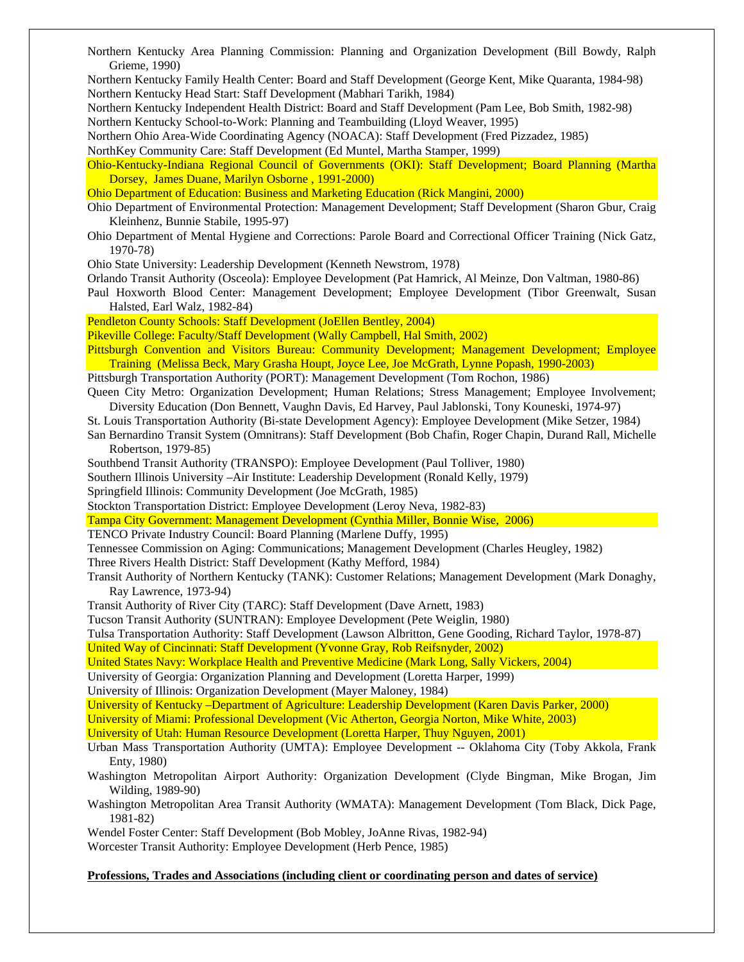Grieme, 1990) Northern Kentucky Family Health Center: Board and Staff Development (George Kent, Mike Quaranta, 1984-98) Northern Kentucky Head Start: Staff Development (Mabhari Tarikh, 1984) Northern Kentucky Independent Health District: Board and Staff Development (Pam Lee, Bob Smith, 1982-98) Northern Kentucky School-to-Work: Planning and Teambuilding (Lloyd Weaver, 1995) Northern Ohio Area-Wide Coordinating Agency (NOACA): Staff Development (Fred Pizzadez, 1985) NorthKey Community Care: Staff Development (Ed Muntel, Martha Stamper, 1999) Ohio-Kentucky-Indiana Regional Council of Governments (OKI): Staff Development; Board Planning (Martha Dorsey, James Duane, Marilyn Osborne , 1991-2000) Ohio Department of Education: Business and Marketing Education (Rick Mangini, 2000) Ohio Department of Environmental Protection: Management Development; Staff Development (Sharon Gbur, Craig Kleinhenz, Bunnie Stabile, 1995-97) Ohio Department of Mental Hygiene and Corrections: Parole Board and Correctional Officer Training (Nick Gatz, 1970-78) Ohio State University: Leadership Development (Kenneth Newstrom, 1978) Orlando Transit Authority (Osceola): Employee Development (Pat Hamrick, Al Meinze, Don Valtman, 1980-86) Paul Hoxworth Blood Center: Management Development; Employee Development (Tibor Greenwalt, Susan Halsted, Earl Walz, 1982-84) Pendleton County Schools: Staff Development (JoEllen Bentley, 2004) Pikeville College: Faculty/Staff Development (Wally Campbell, Hal Smith, 2002) Pittsburgh Convention and Visitors Bureau: Community Development; Management Development; Employee Training (Melissa Beck, Mary Grasha Houpt, Joyce Lee, Joe McGrath, Lynne Popash, 1990-2003) Pittsburgh Transportation Authority (PORT): Management Development (Tom Rochon, 1986) Queen City Metro: Organization Development; Human Relations; Stress Management; Employee Involvement; Diversity Education (Don Bennett, Vaughn Davis, Ed Harvey, Paul Jablonski, Tony Kouneski, 1974-97) St. Louis Transportation Authority (Bi-state Development Agency): Employee Development (Mike Setzer, 1984) San Bernardino Transit System (Omnitrans): Staff Development (Bob Chafin, Roger Chapin, Durand Rall, Michelle Robertson, 1979-85) Southbend Transit Authority (TRANSPO): Employee Development (Paul Tolliver, 1980) Southern Illinois University –Air Institute: Leadership Development (Ronald Kelly, 1979) Springfield Illinois: Community Development (Joe McGrath, 1985) Stockton Transportation District: Employee Development (Leroy Neva, 1982-83) Tampa City Government: Management Development (Cynthia Miller, Bonnie Wise, 2006) TENCO Private Industry Council: Board Planning (Marlene Duffy, 1995) Tennessee Commission on Aging: Communications; Management Development (Charles Heugley, 1982) Three Rivers Health District: Staff Development (Kathy Mefford, 1984) Transit Authority of Northern Kentucky (TANK): Customer Relations; Management Development (Mark Donaghy, Ray Lawrence, 1973-94) Transit Authority of River City (TARC): Staff Development (Dave Arnett, 1983) Tucson Transit Authority (SUNTRAN): Employee Development (Pete Weiglin, 1980) Tulsa Transportation Authority: Staff Development (Lawson Albritton, Gene Gooding, Richard Taylor, 1978-87) United Way of Cincinnati: Staff Development (Yvonne Gray, Rob Reifsnyder, 2002) United States Navy: Workplace Health and Preventive Medicine (Mark Long, Sally Vickers, 2004) University of Georgia: Organization Planning and Development (Loretta Harper, 1999) University of Illinois: Organization Development (Mayer Maloney, 1984) University of Kentucky –Department of Agriculture: Leadership Development (Karen Davis Parker, 2000) University of Miami: Professional Development (Vic Atherton, Georgia Norton, Mike White, 2003) University of Utah: Human Resource Development (Loretta Harper, Thuy Nguyen, 2001) Urban Mass Transportation Authority (UMTA): Employee Development -- Oklahoma City (Toby Akkola, Frank Enty, 1980) Washington Metropolitan Airport Authority: Organization Development (Clyde Bingman, Mike Brogan, Jim Wilding, 1989-90) Washington Metropolitan Area Transit Authority (WMATA): Management Development (Tom Black, Dick Page, 1981-82) Wendel Foster Center: Staff Development (Bob Mobley, JoAnne Rivas, 1982-94) Worcester Transit Authority: Employee Development (Herb Pence, 1985) **Professions, Trades and Associations (including client or coordinating person and dates of service)**

Northern Kentucky Area Planning Commission: Planning and Organization Development (Bill Bowdy, Ralph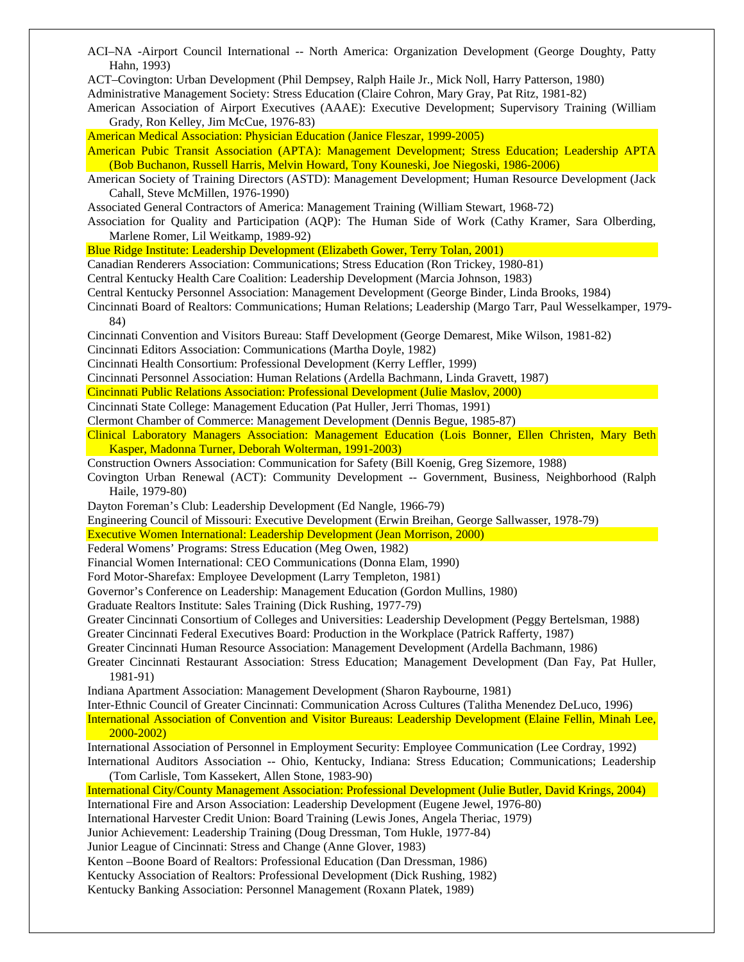Hahn, 1993) ACT–Covington: Urban Development (Phil Dempsey, Ralph Haile Jr., Mick Noll, Harry Patterson, 1980) Administrative Management Society: Stress Education (Claire Cohron, Mary Gray, Pat Ritz, 1981-82) American Association of Airport Executives (AAAE): Executive Development; Supervisory Training (William Grady, Ron Kelley, Jim McCue, 1976-83) American Medical Association: Physician Education (Janice Fleszar, 1999-2005) American Pubic Transit Association (APTA): Management Development; Stress Education; Leadership APTA (Bob Buchanon, Russell Harris, Melvin Howard, Tony Kouneski, Joe Niegoski, 1986-2006) American Society of Training Directors (ASTD): Management Development; Human Resource Development (Jack Cahall, Steve McMillen, 1976-1990) Associated General Contractors of America: Management Training (William Stewart, 1968-72) Association for Quality and Participation (AQP): The Human Side of Work (Cathy Kramer, Sara Olberding, Marlene Romer, Lil Weitkamp, 1989-92) Blue Ridge Institute: Leadership Development (Elizabeth Gower, Terry Tolan, 2001) Canadian Renderers Association: Communications; Stress Education (Ron Trickey, 1980-81) Central Kentucky Health Care Coalition: Leadership Development (Marcia Johnson, 1983) Central Kentucky Personnel Association: Management Development (George Binder, Linda Brooks, 1984) Cincinnati Board of Realtors: Communications; Human Relations; Leadership (Margo Tarr, Paul Wesselkamper, 1979- 84) Cincinnati Convention and Visitors Bureau: Staff Development (George Demarest, Mike Wilson, 1981-82) Cincinnati Editors Association: Communications (Martha Doyle, 1982) Cincinnati Health Consortium: Professional Development (Kerry Leffler, 1999) Cincinnati Personnel Association: Human Relations (Ardella Bachmann, Linda Gravett, 1987) Cincinnati Public Relations Association: Professional Development (Julie Maslov, 2000) Cincinnati State College: Management Education (Pat Huller, Jerri Thomas, 1991) Clermont Chamber of Commerce: Management Development (Dennis Begue, 1985-87) Clinical Laboratory Managers Association: Management Education (Lois Bonner, Ellen Christen, Mary Beth Kasper, Madonna Turner, Deborah Wolterman, 1991-2003) Construction Owners Association: Communication for Safety (Bill Koenig, Greg Sizemore, 1988) Covington Urban Renewal (ACT): Community Development -- Government, Business, Neighborhood (Ralph Haile, 1979-80) Dayton Foreman's Club: Leadership Development (Ed Nangle, 1966-79) Engineering Council of Missouri: Executive Development (Erwin Breihan, George Sallwasser, 1978-79) Executive Women International: Leadership Development (Jean Morrison, 2000) Federal Womens' Programs: Stress Education (Meg Owen, 1982) Financial Women International: CEO Communications (Donna Elam, 1990) Ford Motor-Sharefax: Employee Development (Larry Templeton, 1981) Governor's Conference on Leadership: Management Education (Gordon Mullins, 1980) Graduate Realtors Institute: Sales Training (Dick Rushing, 1977-79) Greater Cincinnati Consortium of Colleges and Universities: Leadership Development (Peggy Bertelsman, 1988) Greater Cincinnati Federal Executives Board: Production in the Workplace (Patrick Rafferty, 1987) Greater Cincinnati Human Resource Association: Management Development (Ardella Bachmann, 1986) Greater Cincinnati Restaurant Association: Stress Education; Management Development (Dan Fay, Pat Huller, 1981-91) Indiana Apartment Association: Management Development (Sharon Raybourne, 1981) Inter-Ethnic Council of Greater Cincinnati: Communication Across Cultures (Talitha Menendez DeLuco, 1996) International Association of Convention and Visitor Bureaus: Leadership Development (Elaine Fellin, Minah Lee, 2000-2002) International Association of Personnel in Employment Security: Employee Communication (Lee Cordray, 1992) International Auditors Association -- Ohio, Kentucky, Indiana: Stress Education; Communications; Leadership (Tom Carlisle, Tom Kassekert, Allen Stone, 1983-90) International City/County Management Association: Professional Development (Julie Butler, David Krings, 2004) International Fire and Arson Association: Leadership Development (Eugene Jewel, 1976-80) International Harvester Credit Union: Board Training (Lewis Jones, Angela Theriac, 1979) Junior Achievement: Leadership Training (Doug Dressman, Tom Hukle, 1977-84) Junior League of Cincinnati: Stress and Change (Anne Glover, 1983) Kenton –Boone Board of Realtors: Professional Education (Dan Dressman, 1986) Kentucky Association of Realtors: Professional Development (Dick Rushing, 1982) Kentucky Banking Association: Personnel Management (Roxann Platek, 1989)

ACI–NA -Airport Council International -- North America: Organization Development (George Doughty, Patty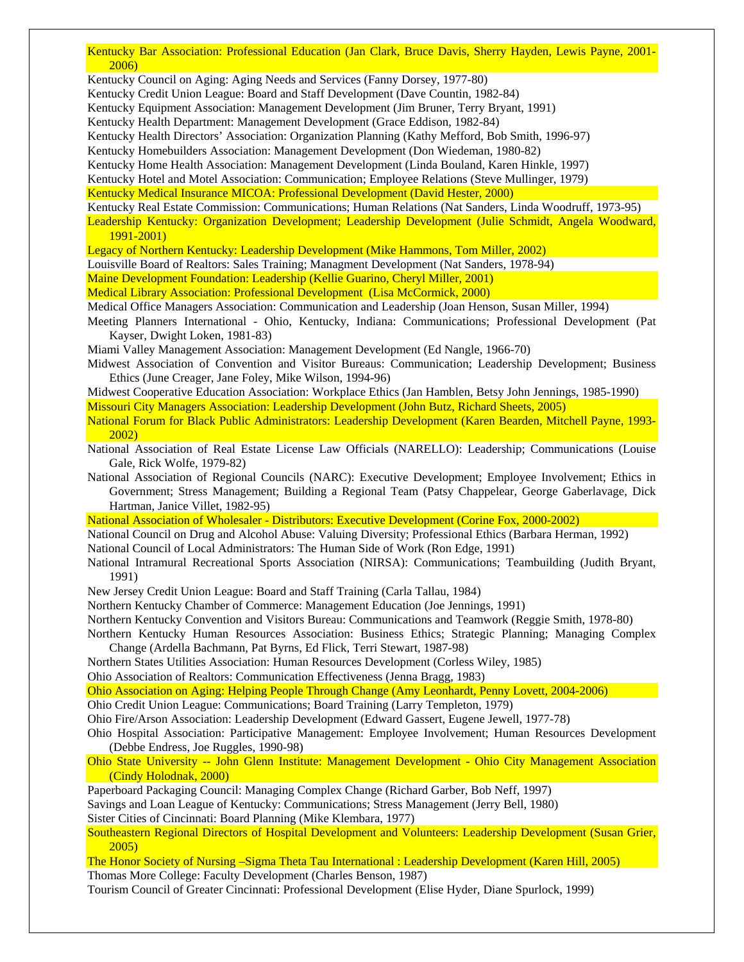Kentucky Bar Association: Professional Education (Jan Clark, Bruce Davis, Sherry Hayden, Lewis Payne, 2001- 2006)

Kentucky Council on Aging: Aging Needs and Services (Fanny Dorsey, 1977-80)

Kentucky Credit Union League: Board and Staff Development (Dave Countin, 1982-84)

Kentucky Equipment Association: Management Development (Jim Bruner, Terry Bryant, 1991)

Kentucky Health Department: Management Development (Grace Eddison, 1982-84)

Kentucky Health Directors' Association: Organization Planning (Kathy Mefford, Bob Smith, 1996-97)

Kentucky Homebuilders Association: Management Development (Don Wiedeman, 1980-82)

Kentucky Home Health Association: Management Development (Linda Bouland, Karen Hinkle, 1997)

Kentucky Hotel and Motel Association: Communication; Employee Relations (Steve Mullinger, 1979)

Kentucky Medical Insurance MICOA: Professional Development (David Hester, 2000)

Kentucky Real Estate Commission: Communications; Human Relations (Nat Sanders, Linda Woodruff, 1973-95)

Leadership Kentucky: Organization Development; Leadership Development (Julie Schmidt, Angela Woodward, 1991-2001)

Legacy of Northern Kentucky: Leadership Development (Mike Hammons, Tom Miller, 2002)

Louisville Board of Realtors: Sales Training; Managment Development (Nat Sanders, 1978-94)

Maine Development Foundation: Leadership (Kellie Guarino, Cheryl Miller, 2001)

Medical Library Association: Professional Development (Lisa McCormick, 2000)

Medical Office Managers Association: Communication and Leadership (Joan Henson, Susan Miller, 1994)

Meeting Planners International - Ohio, Kentucky, Indiana: Communications; Professional Development (Pat Kayser, Dwight Loken, 1981-83)

Miami Valley Management Association: Management Development (Ed Nangle, 1966-70)

Midwest Association of Convention and Visitor Bureaus: Communication; Leadership Development; Business Ethics (June Creager, Jane Foley, Mike Wilson, 1994-96)

Midwest Cooperative Education Association: Workplace Ethics (Jan Hamblen, Betsy John Jennings, 1985-1990)

Missouri City Managers Association: Leadership Development (John Butz, Richard Sheets, 2005)

National Forum for Black Public Administrators: Leadership Development (Karen Bearden, Mitchell Payne, 1993- 2002)

National Association of Real Estate License Law Officials (NARELLO): Leadership; Communications (Louise Gale, Rick Wolfe, 1979-82)

National Association of Regional Councils (NARC): Executive Development; Employee Involvement; Ethics in Government; Stress Management; Building a Regional Team (Patsy Chappelear, George Gaberlavage, Dick Hartman, Janice Villet, 1982-95)

National Association of Wholesaler - Distributors: Executive Development (Corine Fox, 2000-2002)

National Council on Drug and Alcohol Abuse: Valuing Diversity; Professional Ethics (Barbara Herman, 1992) National Council of Local Administrators: The Human Side of Work (Ron Edge, 1991)

National Intramural Recreational Sports Association (NIRSA): Communications; Teambuilding (Judith Bryant, 1991)

New Jersey Credit Union League: Board and Staff Training (Carla Tallau, 1984)

Northern Kentucky Chamber of Commerce: Management Education (Joe Jennings, 1991)

Northern Kentucky Convention and Visitors Bureau: Communications and Teamwork (Reggie Smith, 1978-80)

Northern Kentucky Human Resources Association: Business Ethics; Strategic Planning; Managing Complex Change (Ardella Bachmann, Pat Byrns, Ed Flick, Terri Stewart, 1987-98)

Northern States Utilities Association: Human Resources Development (Corless Wiley, 1985)

Ohio Association of Realtors: Communication Effectiveness (Jenna Bragg, 1983)

Ohio Association on Aging: Helping People Through Change (Amy Leonhardt, Penny Lovett, 2004-2006)

Ohio Credit Union League: Communications; Board Training (Larry Templeton, 1979)

Ohio Fire/Arson Association: Leadership Development (Edward Gassert, Eugene Jewell, 1977-78)

Ohio Hospital Association: Participative Management: Employee Involvement; Human Resources Development (Debbe Endress, Joe Ruggles, 1990-98)

Ohio State University -- John Glenn Institute: Management Development - Ohio City Management Association (Cindy Holodnak, 2000)

Paperboard Packaging Council: Managing Complex Change (Richard Garber, Bob Neff, 1997)

Savings and Loan League of Kentucky: Communications; Stress Management (Jerry Bell, 1980)

Sister Cities of Cincinnati: Board Planning (Mike Klembara, 1977)

Southeastern Regional Directors of Hospital Development and Volunteers: Leadership Development (Susan Grier, 2005)

The Honor Society of Nursing –Sigma Theta Tau International : Leadership Development (Karen Hill, 2005) Thomas More College: Faculty Development (Charles Benson, 1987)

Tourism Council of Greater Cincinnati: Professional Development (Elise Hyder, Diane Spurlock, 1999)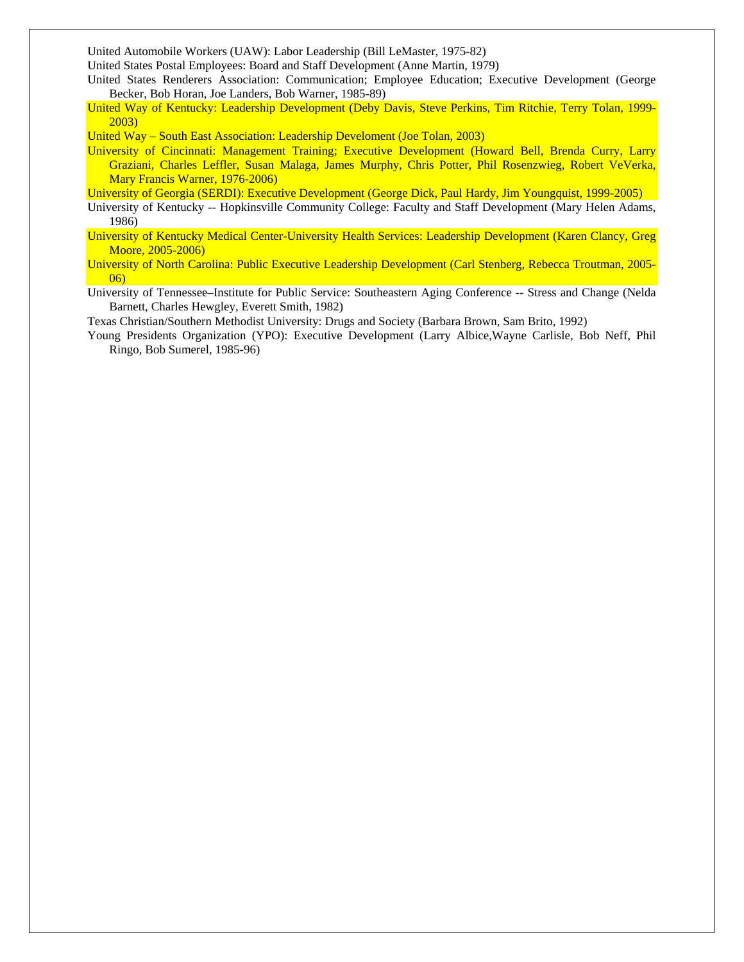United Automobile Workers (UAW): Labor Leadership (Bill LeMaster, 1975-82)

United States Postal Employees: Board and Staff Development (Anne Martin, 1979)

- United States Renderers Association: Communication; Employee Education; Executive Development (George Becker, Bob Horan, Joe Landers, Bob Warner, 1985-89)
- United Way of Kentucky: Leadership Development (Deby Davis, Steve Perkins, Tim Ritchie, Terry Tolan, 1999- 2003)

United Way – South East Association: Leadership Develoment (Joe Tolan, 2003)

University of Cincinnati: Management Training; Executive Development (Howard Bell, Brenda Curry, Larry Graziani, Charles Leffler, Susan Malaga, James Murphy, Chris Potter, Phil Rosenzwieg, Robert VeVerka, Mary Francis Warner, 1976-2006)

University of Georgia (SERDI): Executive Development (George Dick, Paul Hardy, Jim Youngquist, 1999-2005)

- University of Kentucky -- Hopkinsville Community College: Faculty and Staff Development (Mary Helen Adams, 1986)
- University of Kentucky Medical Center-University Health Services: Leadership Development (Karen Clancy, Greg Moore, 2005-2006)

University of North Carolina: Public Executive Leadership Development (Carl Stenberg, Rebecca Troutman, 2005- 06)

University of Tennessee–Institute for Public Service: Southeastern Aging Conference -- Stress and Change (Nelda Barnett, Charles Hewgley, Everett Smith, 1982)

Texas Christian/Southern Methodist University: Drugs and Society (Barbara Brown, Sam Brito, 1992)

Young Presidents Organization (YPO): Executive Development (Larry Albice,Wayne Carlisle, Bob Neff, Phil Ringo, Bob Sumerel, 1985-96)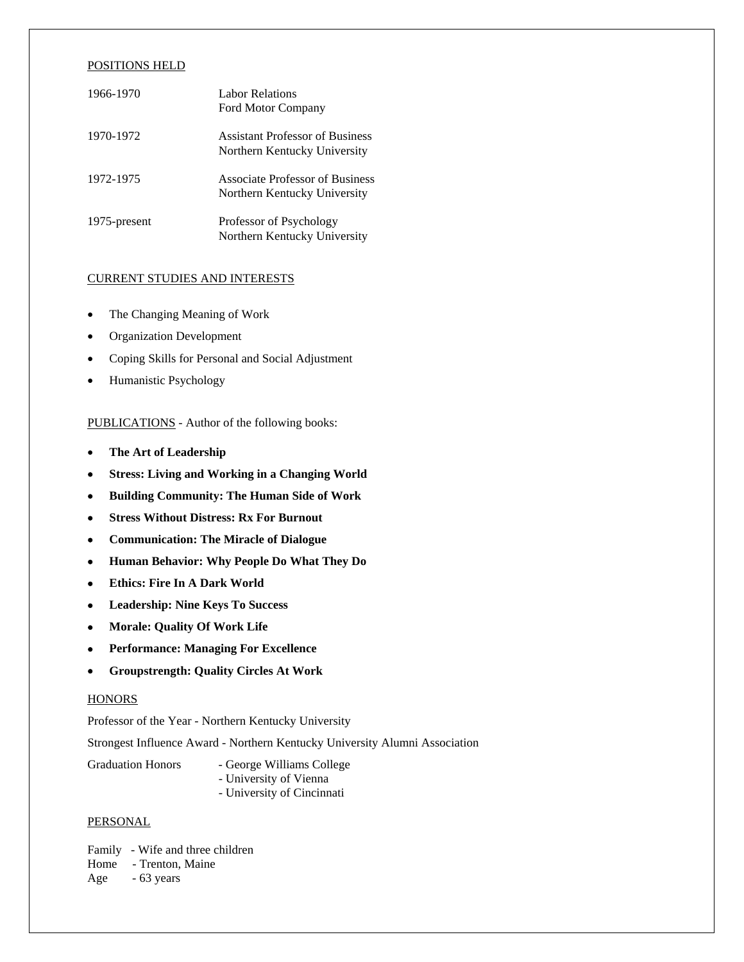### POSITIONS HELD

| 1966-1970    | <b>Labor Relations</b><br><b>Ford Motor Company</b>                    |
|--------------|------------------------------------------------------------------------|
| 1970-1972    | <b>Assistant Professor of Business</b><br>Northern Kentucky University |
| 1972-1975    | <b>Associate Professor of Business</b><br>Northern Kentucky University |
| 1975-present | Professor of Psychology<br>Northern Kentucky University                |

# CURRENT STUDIES AND INTERESTS

- The Changing Meaning of Work
- Organization Development
- Coping Skills for Personal and Social Adjustment
- Humanistic Psychology

PUBLICATIONS - Author of the following books:

- **The Art of Leadership**
- **Stress: Living and Working in a Changing World**
- **Building Community: The Human Side of Work**
- **Stress Without Distress: Rx For Burnout**
- **Communication: The Miracle of Dialogue**
- **Human Behavior: Why People Do What They Do**
- **Ethics: Fire In A Dark World**
- **Leadership: Nine Keys To Success**
- **Morale: Quality Of Work Life**
- **Performance: Managing For Excellence**
- **Groupstrength: Quality Circles At Work**

#### **HONORS**

Professor of the Year - Northern Kentucky University

Strongest Influence Award - Northern Kentucky University Alumni Association

- Graduation Honors George Williams College - University of Vienna
	- University of Cincinnati

# **PERSONAL**

Family - Wife and three children Home - Trenton, Maine

# Age - 63 years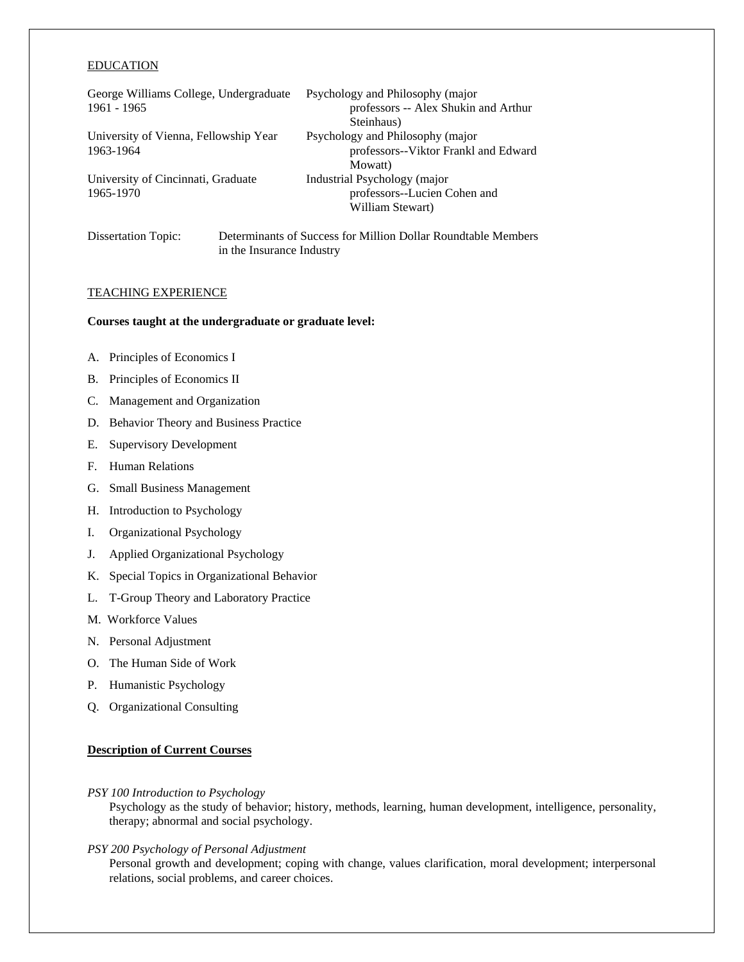#### EDUCATION

| George Williams College, Undergraduate |                           | Psychology and Philosophy (major                              |  |
|----------------------------------------|---------------------------|---------------------------------------------------------------|--|
| 1961 - 1965                            |                           | professors -- Alex Shukin and Arthur                          |  |
|                                        |                           | Steinhaus)                                                    |  |
| University of Vienna, Fellowship Year  |                           | Psychology and Philosophy (major                              |  |
| 1963-1964                              |                           | professors--Viktor Frankl and Edward                          |  |
|                                        |                           | Mowatt)                                                       |  |
| University of Cincinnati, Graduate     |                           | Industrial Psychology (major                                  |  |
| 1965-1970                              |                           | professors--Lucien Cohen and                                  |  |
|                                        |                           | William Stewart)                                              |  |
| Dissertation Topic:                    |                           | Determinants of Success for Million Dollar Roundtable Members |  |
|                                        | in the Insurance Industry |                                                               |  |

#### TEACHING EXPERIENCE

#### **Courses taught at the undergraduate or graduate level:**

- A. Principles of Economics I
- B. Principles of Economics II
- C. Management and Organization
- D. Behavior Theory and Business Practice
- E. Supervisory Development
- F. Human Relations
- G. Small Business Management
- H. Introduction to Psychology
- I. Organizational Psychology
- J. Applied Organizational Psychology
- K. Special Topics in Organizational Behavior
- L. T-Group Theory and Laboratory Practice
- M. Workforce Values
- N. Personal Adjustment
- O. The Human Side of Work
- P. Humanistic Psychology
- Q. Organizational Consulting

# **Description of Current Courses**

#### *PSY 100 Introduction to Psychology*

Psychology as the study of behavior; history, methods, learning, human development, intelligence, personality, therapy; abnormal and social psychology.

*PSY 200 Psychology of Personal Adjustment*

 Personal growth and development; coping with change, values clarification, moral development; interpersonal relations, social problems, and career choices.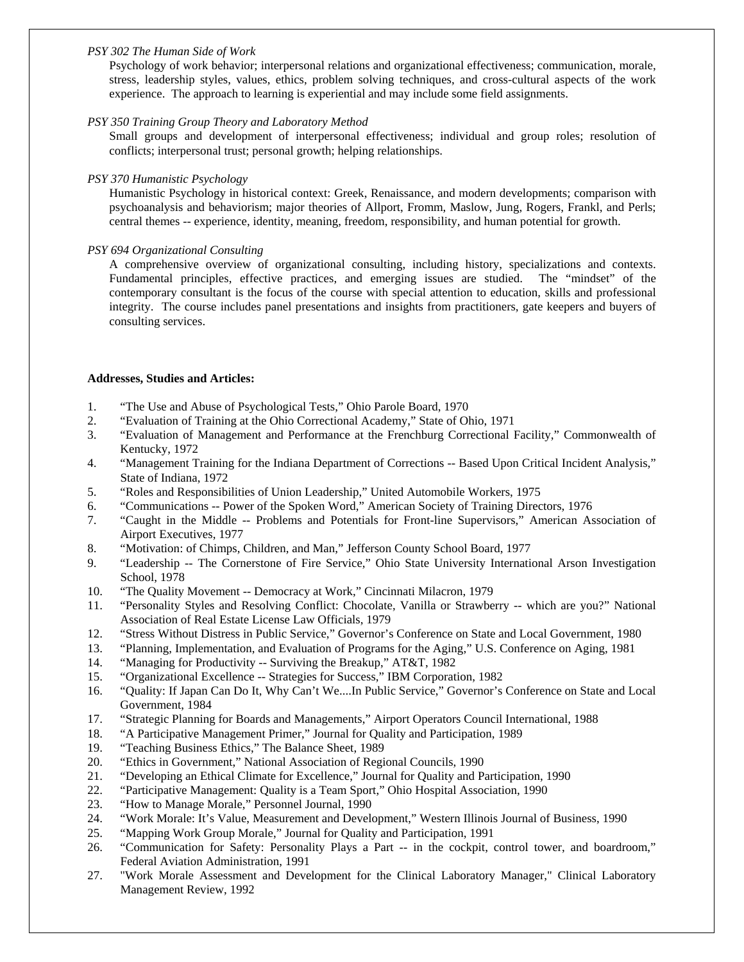# *PSY 302 The Human Side of Work*

Psychology of work behavior; interpersonal relations and organizational effectiveness; communication, morale, stress, leadership styles, values, ethics, problem solving techniques, and cross-cultural aspects of the work experience. The approach to learning is experiential and may include some field assignments.

# *PSY 350 Training Group Theory and Laboratory Method*

 Small groups and development of interpersonal effectiveness; individual and group roles; resolution of conflicts; interpersonal trust; personal growth; helping relationships.

# *PSY 370 Humanistic Psychology*

 Humanistic Psychology in historical context: Greek, Renaissance, and modern developments; comparison with psychoanalysis and behaviorism; major theories of Allport, Fromm, Maslow, Jung, Rogers, Frankl, and Perls; central themes -- experience, identity, meaning, freedom, responsibility, and human potential for growth.

# *PSY 694 Organizational Consulting*

A comprehensive overview of organizational consulting, including history, specializations and contexts. Fundamental principles, effective practices, and emerging issues are studied. The "mindset" of the contemporary consultant is the focus of the course with special attention to education, skills and professional integrity. The course includes panel presentations and insights from practitioners, gate keepers and buyers of consulting services.

# **Addresses, Studies and Articles:**

- 1. "The Use and Abuse of Psychological Tests," Ohio Parole Board, 1970
- 2. "Evaluation of Training at the Ohio Correctional Academy," State of Ohio, 1971
- 3. "Evaluation of Management and Performance at the Frenchburg Correctional Facility," Commonwealth of Kentucky, 1972
- 4. "Management Training for the Indiana Department of Corrections -- Based Upon Critical Incident Analysis," State of Indiana, 1972
- 5. "Roles and Responsibilities of Union Leadership," United Automobile Workers, 1975
- 6. "Communications -- Power of the Spoken Word," American Society of Training Directors, 1976
- 7. "Caught in the Middle -- Problems and Potentials for Front-line Supervisors," American Association of Airport Executives, 1977
- 8. "Motivation: of Chimps, Children, and Man," Jefferson County School Board, 1977
- 9. "Leadership -- The Cornerstone of Fire Service," Ohio State University International Arson Investigation School, 1978
- 10. "The Quality Movement -- Democracy at Work," Cincinnati Milacron, 1979
- 11. "Personality Styles and Resolving Conflict: Chocolate, Vanilla or Strawberry -- which are you?" National Association of Real Estate License Law Officials, 1979
- 12. "Stress Without Distress in Public Service," Governor's Conference on State and Local Government, 1980
- 13. "Planning, Implementation, and Evaluation of Programs for the Aging," U.S. Conference on Aging, 1981
- 14. "Managing for Productivity -- Surviving the Breakup," AT&T, 1982
- 15. "Organizational Excellence -- Strategies for Success," IBM Corporation, 1982
- 16. "Quality: If Japan Can Do It, Why Can't We....In Public Service," Governor's Conference on State and Local Government, 1984
- 17. "Strategic Planning for Boards and Managements," Airport Operators Council International, 1988
- 18. "A Participative Management Primer," Journal for Quality and Participation, 1989
- 19. "Teaching Business Ethics," The Balance Sheet, 1989
- 20. "Ethics in Government," National Association of Regional Councils, 1990
- 21. "Developing an Ethical Climate for Excellence," Journal for Quality and Participation, 1990
- 22. "Participative Management: Quality is a Team Sport," Ohio Hospital Association, 1990
- 23. "How to Manage Morale," Personnel Journal, 1990
- 24. "Work Morale: It's Value, Measurement and Development," Western Illinois Journal of Business, 1990
- 25. "Mapping Work Group Morale," Journal for Quality and Participation, 1991
- 26. "Communication for Safety: Personality Plays a Part -- in the cockpit, control tower, and boardroom," Federal Aviation Administration, 1991
- 27. "Work Morale Assessment and Development for the Clinical Laboratory Manager," Clinical Laboratory Management Review, 1992